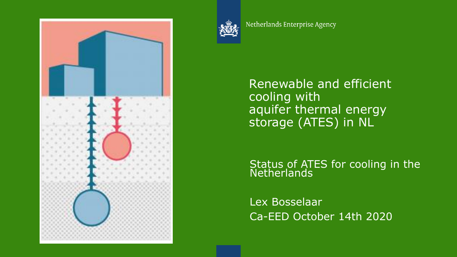



Netherlands Enterprise Agency

Renewable and efficient cooling with aquifer thermal energy storage (ATES) in NL

Status of ATES for cooling in the Netherlands

Lex Bosselaar Ca-EED October 14th 2020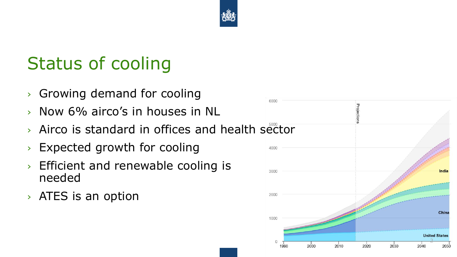

### Status of cooling

- › Growing demand for cooling
- › Now 6% airco's in houses in NL
- › Airco is standard in offices and health sector
- › Expected growth for cooling
- › Efficient and renewable cooling is needed
- › ATES is an option

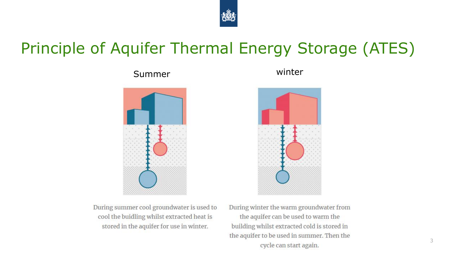

### Principle of Aquifer Thermal Energy Storage (ATES)



Summer winter



During summer cool groundwater is used to cool the buidling whilst extracted heat is stored in the aquifer for use in winter.

During winter the warm groundwater from the aquifer can be used to warm the building whilst extracted cold is stored in the aquifer to be used in summer. Then the cycle can start again.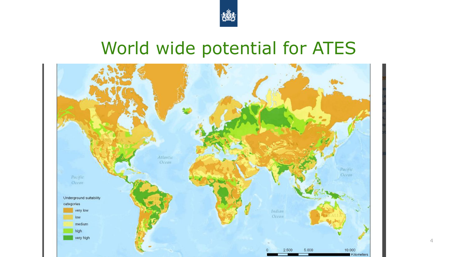

# World wide potential for ATES

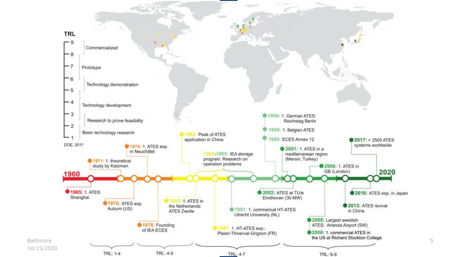

5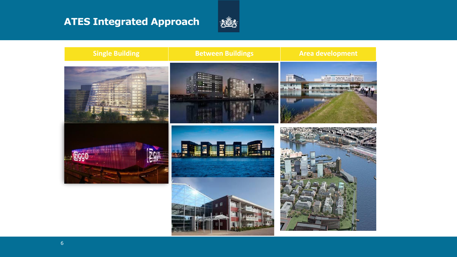### **ATES Integrated Approach**



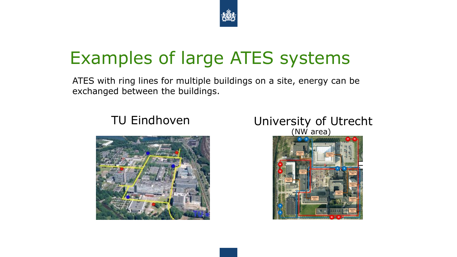

# Examples of large ATES systems

ATES with ring lines for multiple buildings on a site, energy can be exchanged between the buildings.





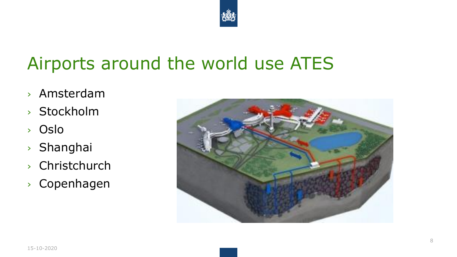

### Airports around the world use ATES

- › Amsterdam
- › Stockholm
- › Oslo
- › Shanghai
- › Christchurch
- › Copenhagen

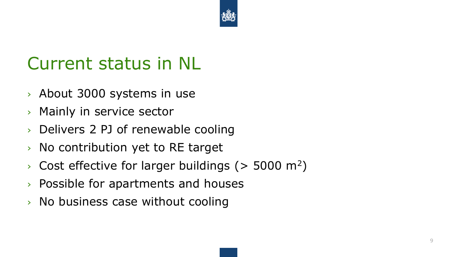

### Current status in NL

- › About 3000 systems in use
- › Mainly in service sector
- › Delivers 2 PJ of renewable cooling
- › No contribution yet to RE target
- $\rightarrow$  Cost effective for larger buildings ( $>$  5000 m<sup>2</sup>)
- › Possible for apartments and houses
- › No business case without cooling